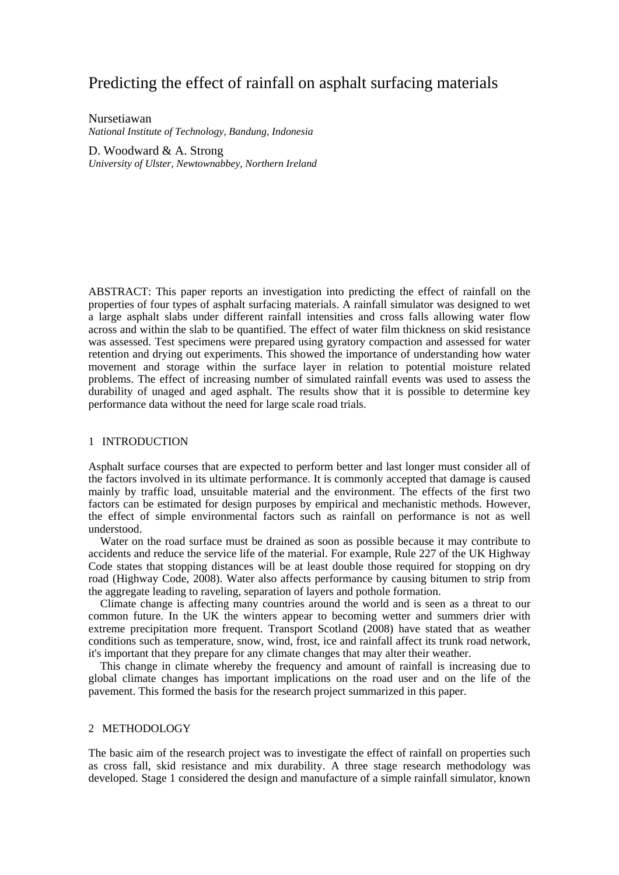# Predicting the effect of rainfall on asphalt surfacing materials

Nursetiawan *National Institute of Technology, Bandung, Indonesia* 

D. Woodward & A. Strong *University of Ulster, Newtownabbey, Northern Ireland* 

ABSTRACT: This paper reports an investigation into predicting the effect of rainfall on the properties of four types of asphalt surfacing materials. A rainfall simulator was designed to wet a large asphalt slabs under different rainfall intensities and cross falls allowing water flow across and within the slab to be quantified. The effect of water film thickness on skid resistance was assessed. Test specimens were prepared using gyratory compaction and assessed for water retention and drying out experiments. This showed the importance of understanding how water movement and storage within the surface layer in relation to potential moisture related problems. The effect of increasing number of simulated rainfall events was used to assess the durability of unaged and aged asphalt. The results show that it is possible to determine key performance data without the need for large scale road trials.

# 1 INTRODUCTION

Asphalt surface courses that are expected to perform better and last longer must consider all of the factors involved in its ultimate performance. It is commonly accepted that damage is caused mainly by traffic load, unsuitable material and the environment. The effects of the first two factors can be estimated for design purposes by empirical and mechanistic methods. However, the effect of simple environmental factors such as rainfall on performance is not as well understood.

Water on the road surface must be drained as soon as possible because it may contribute to accidents and reduce the service life of the material. For example, Rule 227 of the UK Highway Code states that stopping distances will be at least double those required for stopping on dry road (Highway Code, 2008). Water also affects performance by causing bitumen to strip from the aggregate leading to raveling, separation of layers and pothole formation.

Climate change is affecting many countries around the world and is seen as a threat to our common future. In the UK the winters appear to becoming wetter and summers drier with extreme precipitation more frequent. Transport Scotland (2008) have stated that as weather conditions such as temperature, snow, wind, frost, ice and rainfall affect its trunk road network, it's important that they prepare for any climate changes that may alter their weather.

This change in climate whereby the frequency and amount of rainfall is increasing due to global climate changes has important implications on the road user and on the life of the pavement. This formed the basis for the research project summarized in this paper.

## 2 METHODOLOGY

The basic aim of the research project was to investigate the effect of rainfall on properties such as cross fall, skid resistance and mix durability. A three stage research methodology was developed. Stage 1 considered the design and manufacture of a simple rainfall simulator, known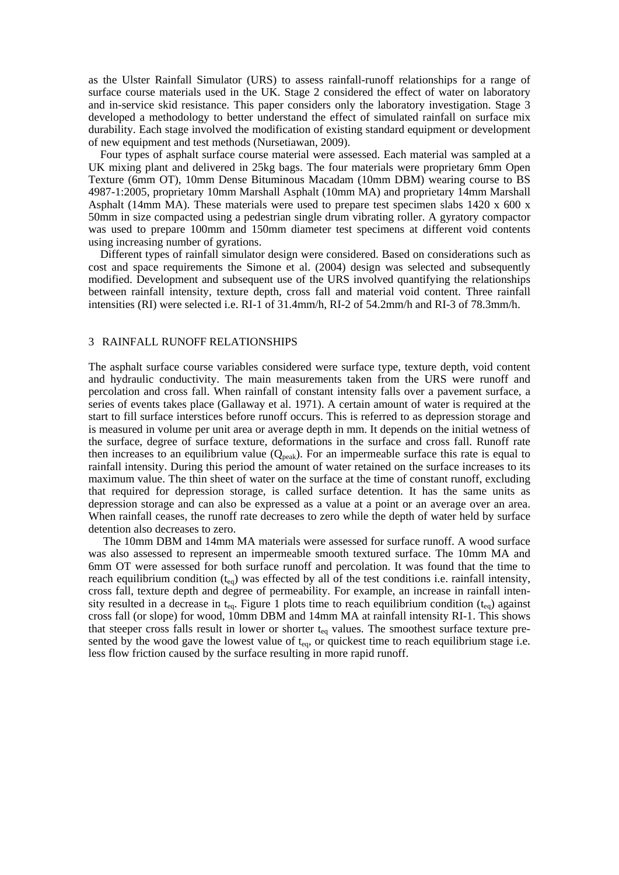as the Ulster Rainfall Simulator (URS) to assess rainfall-runoff relationships for a range of surface course materials used in the UK. Stage 2 considered the effect of water on laboratory and in-service skid resistance. This paper considers only the laboratory investigation. Stage 3 developed a methodology to better understand the effect of simulated rainfall on surface mix durability. Each stage involved the modification of existing standard equipment or development of new equipment and test methods (Nursetiawan, 2009).

Four types of asphalt surface course material were assessed. Each material was sampled at a UK mixing plant and delivered in 25kg bags. The four materials were proprietary 6mm Open Texture (6mm OT), 10mm Dense Bituminous Macadam (10mm DBM) wearing course to BS 4987-1:2005, proprietary 10mm Marshall Asphalt (10mm MA) and proprietary 14mm Marshall Asphalt (14mm MA). These materials were used to prepare test specimen slabs 1420 x 600 x 50mm in size compacted using a pedestrian single drum vibrating roller. A gyratory compactor was used to prepare 100mm and 150mm diameter test specimens at different void contents using increasing number of gyrations.

Different types of rainfall simulator design were considered. Based on considerations such as cost and space requirements the Simone et al. (2004) design was selected and subsequently modified. Development and subsequent use of the URS involved quantifying the relationships between rainfall intensity, texture depth, cross fall and material void content. Three rainfall intensities (RI) were selected i.e. RI-1 of 31.4mm/h, RI-2 of 54.2mm/h and RI-3 of 78.3mm/h.

## 3 RAINFALL RUNOFF RELATIONSHIPS

The asphalt surface course variables considered were surface type, texture depth, void content and hydraulic conductivity. The main measurements taken from the URS were runoff and percolation and cross fall. When rainfall of constant intensity falls over a pavement surface, a series of events takes place (Gallaway et al. 1971). A certain amount of water is required at the start to fill surface interstices before runoff occurs. This is referred to as depression storage and is measured in volume per unit area or average depth in mm. It depends on the initial wetness of the surface, degree of surface texture, deformations in the surface and cross fall. Runoff rate then increases to an equilibrium value  $(Q_{peak})$ . For an impermeable surface this rate is equal to rainfall intensity. During this period the amount of water retained on the surface increases to its maximum value. The thin sheet of water on the surface at the time of constant runoff, excluding that required for depression storage, is called surface detention. It has the same units as depression storage and can also be expressed as a value at a point or an average over an area. When rainfall ceases, the runoff rate decreases to zero while the depth of water held by surface detention also decreases to zero.

The 10mm DBM and 14mm MA materials were assessed for surface runoff. A wood surface was also assessed to represent an impermeable smooth textured surface. The 10mm MA and 6mm OT were assessed for both surface runoff and percolation. It was found that the time to reach equilibrium condition  $(t_{eq})$  was effected by all of the test conditions i.e. rainfall intensity, cross fall, texture depth and degree of permeability. For example, an increase in rainfall intensity resulted in a decrease in t<sub>eq</sub>. Figure 1 plots time to reach equilibrium condition (t<sub>eq</sub>) against cross fall (or slope) for wood, 10mm DBM and 14mm MA at rainfall intensity RI-1. This shows that steeper cross falls result in lower or shorter t<sub>eq</sub> values. The smoothest surface texture presented by the wood gave the lowest value of  $t_{eq}$ , or quickest time to reach equilibrium stage i.e. less flow friction caused by the surface resulting in more rapid runoff.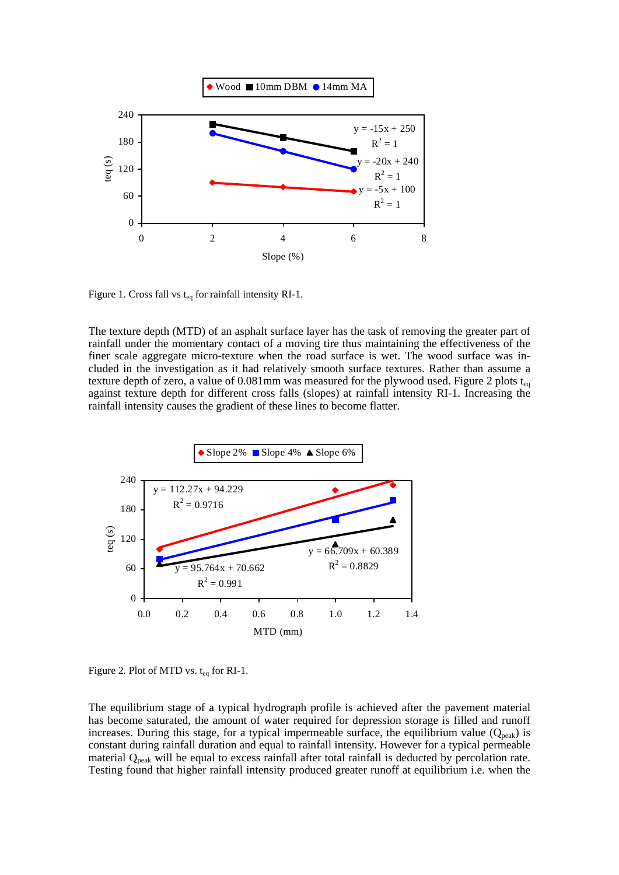

Figure 1. Cross fall vs  $t_{eq}$  for rainfall intensity RI-1.

The texture depth (MTD) of an asphalt surface layer has the task of removing the greater part of rainfall under the momentary contact of a moving tire thus maintaining the effectiveness of the finer scale aggregate micro-texture when the road surface is wet. The wood surface was included in the investigation as it had relatively smooth surface textures. Rather than assume a texture depth of zero, a value of 0.081mm was measured for the plywood used. Figure 2 plots  $t_{eq}$ against texture depth for different cross falls (slopes) at rainfall intensity RI-1. Increasing the rainfall intensity causes the gradient of these lines to become flatter.



Figure 2. Plot of MTD vs.  $t_{eq}$  for RI-1.

The equilibrium stage of a typical hydrograph profile is achieved after the pavement material has become saturated, the amount of water required for depression storage is filled and runoff increases. During this stage, for a typical impermeable surface, the equilibrium value  $(Q_{peak})$  is constant during rainfall duration and equal to rainfall intensity. However for a typical permeable material Q<sub>peak</sub> will be equal to excess rainfall after total rainfall is deducted by percolation rate. Testing found that higher rainfall intensity produced greater runoff at equilibrium i.e. when the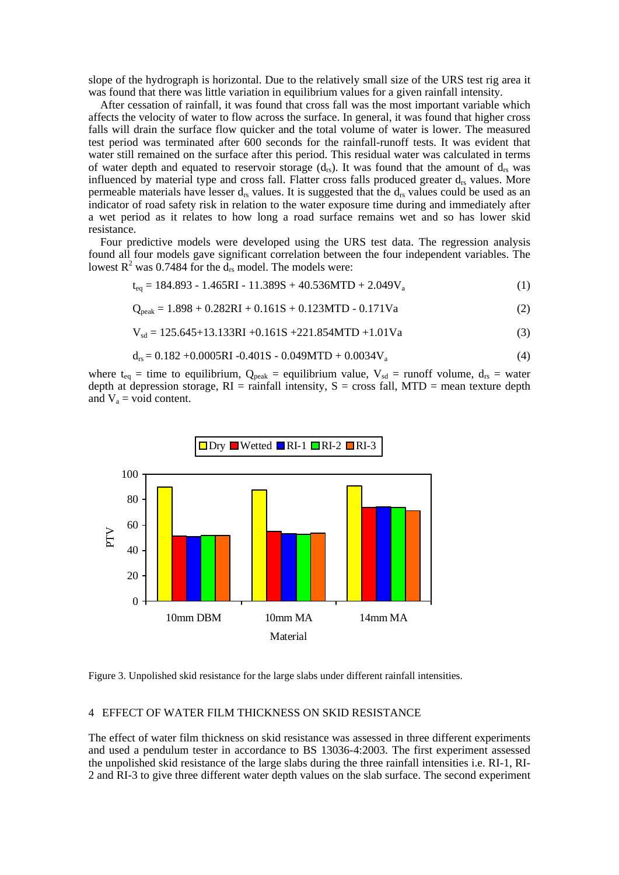slope of the hydrograph is horizontal. Due to the relatively small size of the URS test rig area it was found that there was little variation in equilibrium values for a given rainfall intensity.

After cessation of rainfall, it was found that cross fall was the most important variable which affects the velocity of water to flow across the surface. In general, it was found that higher cross falls will drain the surface flow quicker and the total volume of water is lower. The measured test period was terminated after 600 seconds for the rainfall-runoff tests. It was evident that water still remained on the surface after this period. This residual water was calculated in terms of water depth and equated to reservoir storage  $(d_{rs})$ . It was found that the amount of  $d_{rs}$  was influenced by material type and cross fall. Flatter cross falls produced greater  $d_{rs}$  values. More permeable materials have lesser  $d_{rs}$  values. It is suggested that the  $d_{rs}$  values could be used as an indicator of road safety risk in relation to the water exposure time during and immediately after a wet period as it relates to how long a road surface remains wet and so has lower skid resistance.

Four predictive models were developed using the URS test data. The regression analysis found all four models gave significant correlation between the four independent variables. The lowest  $R^2$  was 0.7484 for the  $d_{rs}$  model. The models were:

$$
t_{eq} = 184.893 - 1.465RI - 11.389S + 40.536MTD + 2.049V_a
$$
 (1)

$$
Q_{peak} = 1.898 + 0.282RI + 0.161S + 0.123MTD - 0.171Va
$$
 (2)

$$
V_{sd} = 125.645 + 13.133 \text{ RI} + 0.161 \text{ S} + 221.854 \text{ MTD} + 1.01 \text{ Va} \tag{3}
$$

$$
d_{rs} = 0.182 + 0.0005RI - 0.401S - 0.049MTD + 0.0034V_a
$$
 (4)

where  $t_{eq}$  = time to equilibrium,  $Q_{peak}$  = equilibrium value,  $V_{sd}$  = runoff volume,  $d_{rs}$  = water depth at depression storage,  $RI =$  rainfall intensity,  $S =$  cross fall, MTD = mean texture depth and  $V_a$  = void content.



Figure 3. Unpolished skid resistance for the large slabs under different rainfall intensities.

### 4 EFFECT OF WATER FILM THICKNESS ON SKID RESISTANCE

The effect of water film thickness on skid resistance was assessed in three different experiments and used a pendulum tester in accordance to BS 13036-4:2003. The first experiment assessed the unpolished skid resistance of the large slabs during the three rainfall intensities i.e. RI-1, RI-2 and RI-3 to give three different water depth values on the slab surface. The second experiment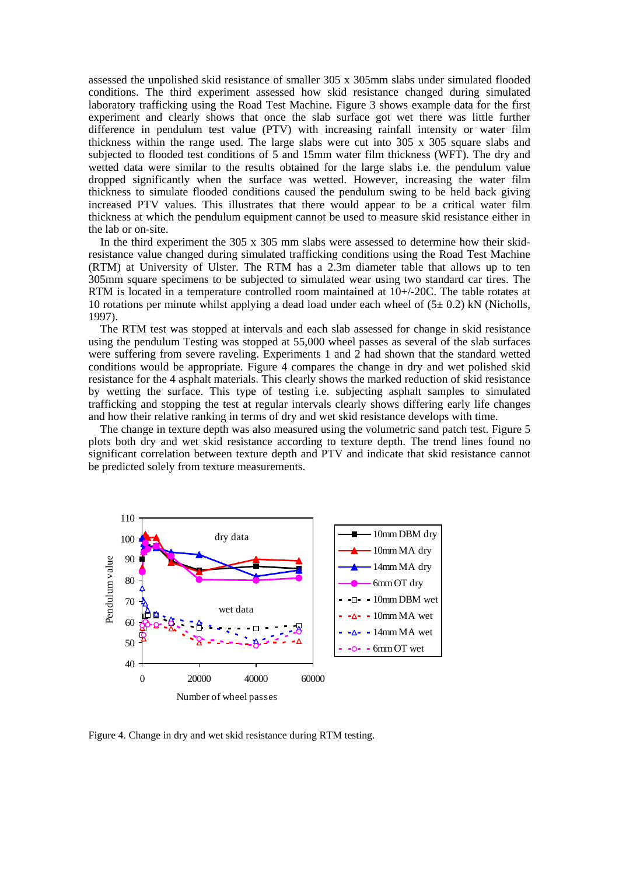assessed the unpolished skid resistance of smaller 305 x 305mm slabs under simulated flooded conditions. The third experiment assessed how skid resistance changed during simulated laboratory trafficking using the Road Test Machine. Figure 3 shows example data for the first experiment and clearly shows that once the slab surface got wet there was little further difference in pendulum test value (PTV) with increasing rainfall intensity or water film thickness within the range used. The large slabs were cut into 305 x 305 square slabs and subjected to flooded test conditions of 5 and 15mm water film thickness (WFT). The dry and wetted data were similar to the results obtained for the large slabs i.e. the pendulum value dropped significantly when the surface was wetted. However, increasing the water film thickness to simulate flooded conditions caused the pendulum swing to be held back giving increased PTV values. This illustrates that there would appear to be a critical water film thickness at which the pendulum equipment cannot be used to measure skid resistance either in the lab or on-site.

In the third experiment the  $305 \times 305$  mm slabs were assessed to determine how their skidresistance value changed during simulated trafficking conditions using the Road Test Machine (RTM) at University of Ulster. The RTM has a 2.3m diameter table that allows up to ten 305mm square specimens to be subjected to simulated wear using two standard car tires. The RTM is located in a temperature controlled room maintained at  $10+/20C$ . The table rotates at 10 rotations per minute whilst applying a dead load under each wheel of  $(5\pm 0.2)$  kN (Nicholls, 1997).

The RTM test was stopped at intervals and each slab assessed for change in skid resistance using the pendulum Testing was stopped at 55,000 wheel passes as several of the slab surfaces were suffering from severe raveling. Experiments 1 and 2 had shown that the standard wetted conditions would be appropriate. Figure 4 compares the change in dry and wet polished skid resistance for the 4 asphalt materials. This clearly shows the marked reduction of skid resistance by wetting the surface. This type of testing i.e. subjecting asphalt samples to simulated trafficking and stopping the test at regular intervals clearly shows differing early life changes and how their relative ranking in terms of dry and wet skid resistance develops with time.

The change in texture depth was also measured using the volumetric sand patch test. Figure 5 plots both dry and wet skid resistance according to texture depth. The trend lines found no significant correlation between texture depth and PTV and indicate that skid resistance cannot be predicted solely from texture measurements.



Figure 4. Change in dry and wet skid resistance during RTM testing.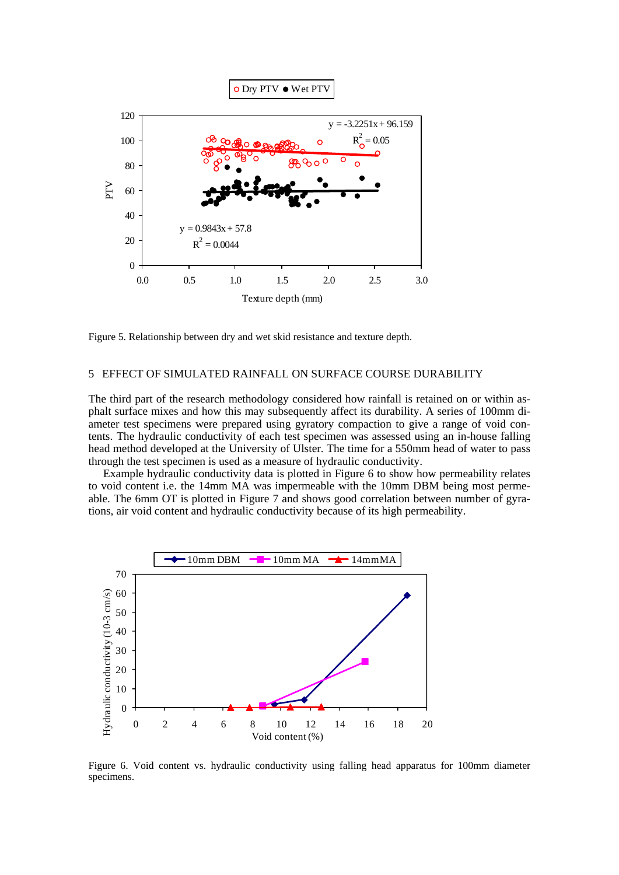

Figure 5. Relationship between dry and wet skid resistance and texture depth.

# 5 EFFECT OF SIMULATED RAINFALL ON SURFACE COURSE DURABILITY

The third part of the research methodology considered how rainfall is retained on or within asphalt surface mixes and how this may subsequently affect its durability. A series of 100mm diameter test specimens were prepared using gyratory compaction to give a range of void contents. The hydraulic conductivity of each test specimen was assessed using an in-house falling head method developed at the University of Ulster. The time for a 550mm head of water to pass through the test specimen is used as a measure of hydraulic conductivity.

Example hydraulic conductivity data is plotted in Figure 6 to show how permeability relates to void content i.e. the 14mm MA was impermeable with the 10mm DBM being most permeable. The 6mm OT is plotted in Figure 7 and shows good correlation between number of gyrations, air void content and hydraulic conductivity because of its high permeability.



Figure 6. Void content vs. hydraulic conductivity using falling head apparatus for 100mm diameter specimens.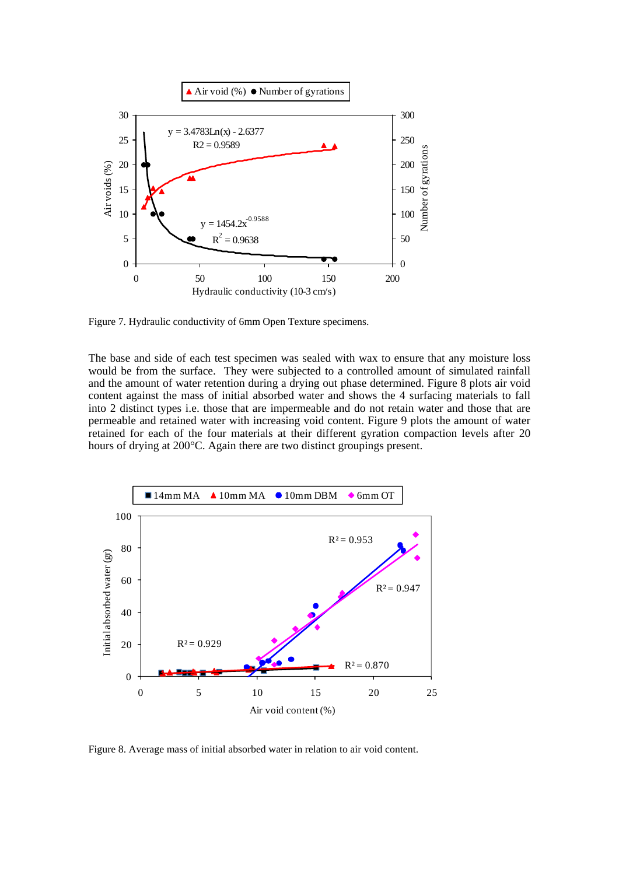

Figure 7. Hydraulic conductivity of 6mm Open Texture specimens.

The base and side of each test specimen was sealed with wax to ensure that any moisture loss would be from the surface. They were subjected to a controlled amount of simulated rainfall and the amount of water retention during a drying out phase determined. Figure 8 plots air void content against the mass of initial absorbed water and shows the 4 surfacing materials to fall into 2 distinct types i.e. those that are impermeable and do not retain water and those that are permeable and retained water with increasing void content. Figure 9 plots the amount of water retained for each of the four materials at their different gyration compaction levels after 20 hours of drying at 200°C. Again there are two distinct groupings present.



Figure 8. Average mass of initial absorbed water in relation to air void content.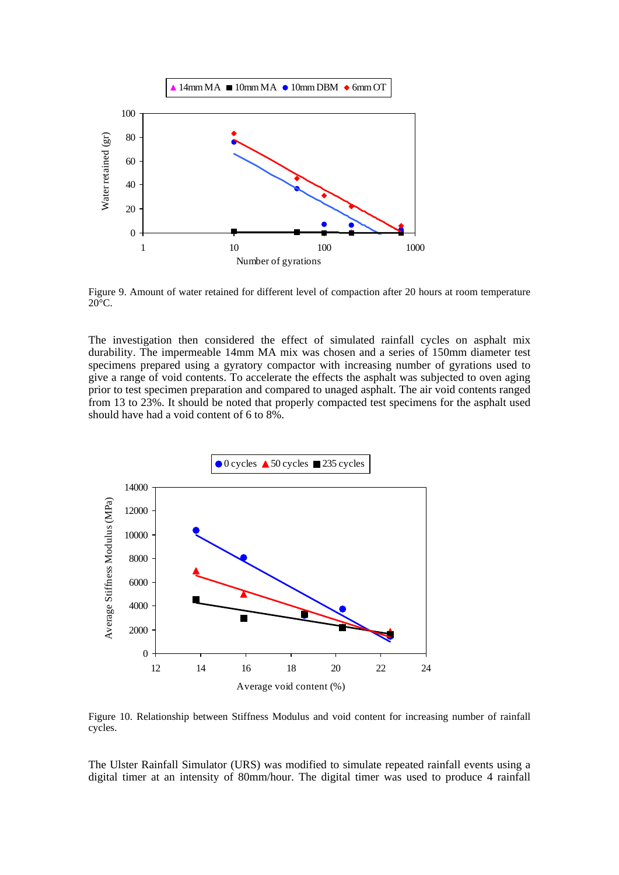

Figure 9. Amount of water retained for different level of compaction after 20 hours at room temperature  $20^{\circ}$ C.

The investigation then considered the effect of simulated rainfall cycles on asphalt mix durability. The impermeable 14mm MA mix was chosen and a series of 150mm diameter test specimens prepared using a gyratory compactor with increasing number of gyrations used to give a range of void contents. To accelerate the effects the asphalt was subjected to oven aging prior to test specimen preparation and compared to unaged asphalt. The air void contents ranged from 13 to 23%. It should be noted that properly compacted test specimens for the asphalt used should have had a void content of 6 to 8%.



Figure 10. Relationship between Stiffness Modulus and void content for increasing number of rainfall cycles.

The Ulster Rainfall Simulator (URS) was modified to simulate repeated rainfall events using a digital timer at an intensity of 80mm/hour. The digital timer was used to produce 4 rainfall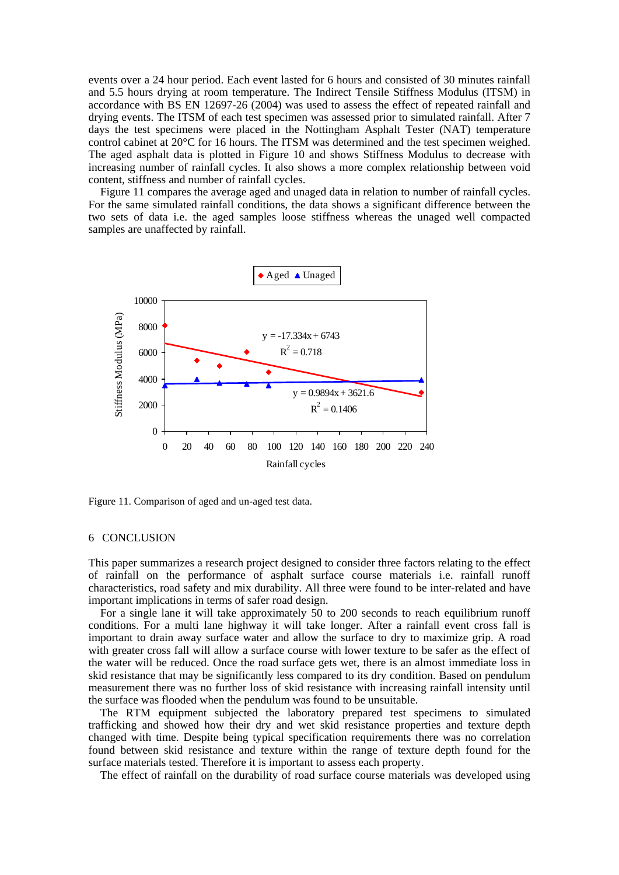events over a 24 hour period. Each event lasted for 6 hours and consisted of 30 minutes rainfall and 5.5 hours drying at room temperature. The Indirect Tensile Stiffness Modulus (ITSM) in accordance with BS EN 12697-26 (2004) was used to assess the effect of repeated rainfall and drying events. The ITSM of each test specimen was assessed prior to simulated rainfall. After 7 days the test specimens were placed in the Nottingham Asphalt Tester (NAT) temperature control cabinet at 20°C for 16 hours. The ITSM was determined and the test specimen weighed. The aged asphalt data is plotted in Figure 10 and shows Stiffness Modulus to decrease with increasing number of rainfall cycles. It also shows a more complex relationship between void content, stiffness and number of rainfall cycles.

Figure 11 compares the average aged and unaged data in relation to number of rainfall cycles. For the same simulated rainfall conditions, the data shows a significant difference between the two sets of data i.e. the aged samples loose stiffness whereas the unaged well compacted samples are unaffected by rainfall.



Figure 11. Comparison of aged and un-aged test data.

#### 6 CONCLUSION

This paper summarizes a research project designed to consider three factors relating to the effect of rainfall on the performance of asphalt surface course materials i.e. rainfall runoff characteristics, road safety and mix durability. All three were found to be inter-related and have important implications in terms of safer road design.

For a single lane it will take approximately  $\overline{50}$  to 200 seconds to reach equilibrium runoff conditions. For a multi lane highway it will take longer. After a rainfall event cross fall is important to drain away surface water and allow the surface to dry to maximize grip. A road with greater cross fall will allow a surface course with lower texture to be safer as the effect of the water will be reduced. Once the road surface gets wet, there is an almost immediate loss in skid resistance that may be significantly less compared to its dry condition. Based on pendulum measurement there was no further loss of skid resistance with increasing rainfall intensity until the surface was flooded when the pendulum was found to be unsuitable.

The RTM equipment subjected the laboratory prepared test specimens to simulated trafficking and showed how their dry and wet skid resistance properties and texture depth changed with time. Despite being typical specification requirements there was no correlation found between skid resistance and texture within the range of texture depth found for the surface materials tested. Therefore it is important to assess each property.

The effect of rainfall on the durability of road surface course materials was developed using